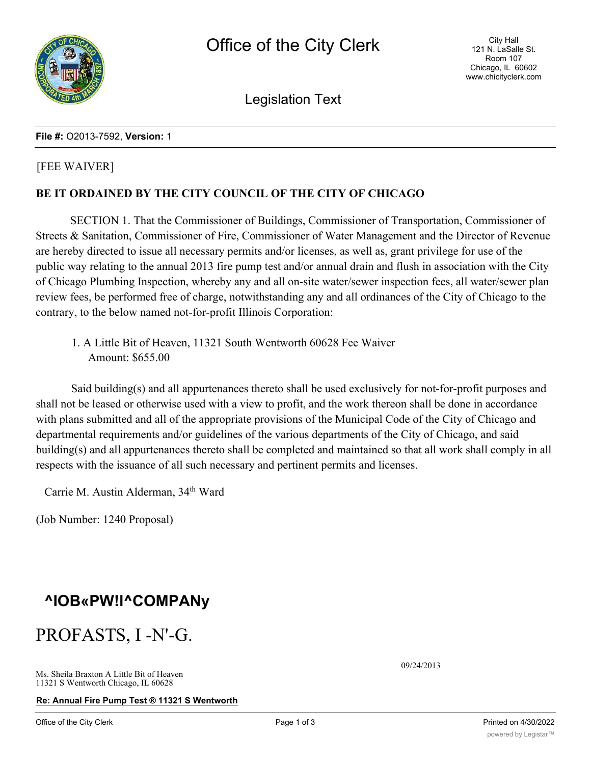

Legislation Text

### **File #:** O2013-7592, **Version:** 1

### [FEE WAIVER]

### **BE IT ORDAINED BY THE CITY COUNCIL OF THE CITY OF CHICAGO**

SECTION 1. That the Commissioner of Buildings, Commissioner of Transportation, Commissioner of Streets & Sanitation, Commissioner of Fire, Commissioner of Water Management and the Director of Revenue are hereby directed to issue all necessary permits and/or licenses, as well as, grant privilege for use of the public way relating to the annual 2013 fire pump test and/or annual drain and flush in association with the City of Chicago Plumbing Inspection, whereby any and all on-site water/sewer inspection fees, all water/sewer plan review fees, be performed free of charge, notwithstanding any and all ordinances of the City of Chicago to the contrary, to the below named not-for-profit Illinois Corporation:

1. A Little Bit of Heaven, 11321 South Wentworth 60628 Fee Waiver Amount: \$655.00

Said building(s) and all appurtenances thereto shall be used exclusively for not-for-profit purposes and shall not be leased or otherwise used with a view to profit, and the work thereon shall be done in accordance with plans submitted and all of the appropriate provisions of the Municipal Code of the City of Chicago and departmental requirements and/or guidelines of the various departments of the City of Chicago, and said building(s) and all appurtenances thereto shall be completed and maintained so that all work shall comply in all respects with the issuance of all such necessary and pertinent permits and licenses.

Carrie M. Austin Alderman, 34th Ward

(Job Number: 1240 Proposal)

## **^IOB«PW!l^COMPANy**

## PROFASTS, I -N'-G.

**Re: Annual Fire Pump Test ® 11321 S Wentworth**

09/24/2013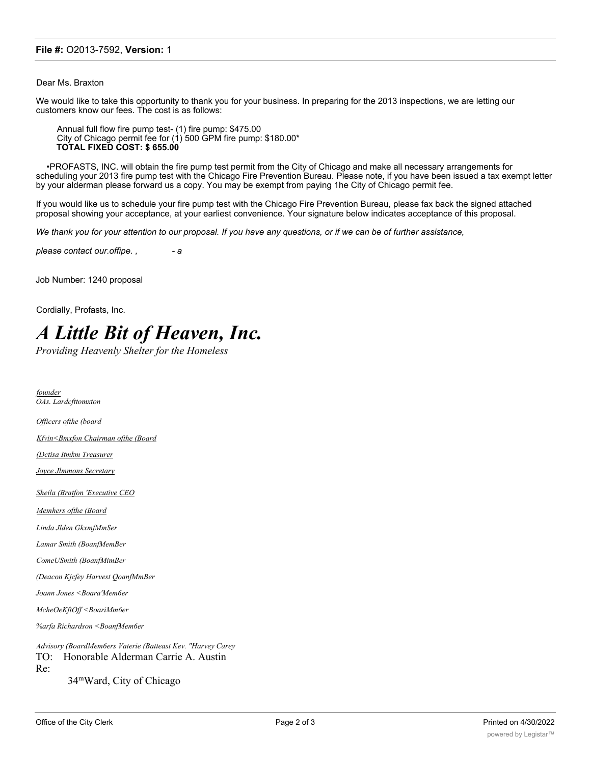#### **File #:** O2013-7592, **Version:** 1

Dear Ms. Braxton

We would like to take this opportunity to thank you for your business. In preparing for the 2013 inspections, we are letting our customers know our fees. The cost is as follows:

Annual full flow fire pump test- (1) fire pump: \$475.00 City of Chicago permit fee for (1) 500 GPM fire pump: \$180.00\* **TOTAL FIXED COST: \$ 655.00**

•PROFASTS, INC. will obtain the fire pump test permit from the City of Chicago and make all necessary arrangements for scheduling your 2013 fire pump test with the Chicago Fire Prevention Bureau. Please note, if you have been issued a tax exempt letter by your alderman please forward us a copy. You may be exempt from paying 1he City of Chicago permit fee.

If you would like us to schedule your fire pump test with the Chicago Fire Prevention Bureau, please fax back the signed attached proposal showing your acceptance, at your earliest convenience. Your signature below indicates acceptance of this proposal.

*We thank you for your attention to our proposal. If you have any questions, or if we can be of further assistance,*

*please contact our.offipe. , - a*

Job Number: 1240 proposal

Cordially, Profasts, Inc.

# *A Little Bit of Heaven, Inc.*

*Providing Heavenly Shelter for the Homeless*

*founder OAs. Lardcfttomxton Officers ofthe (board Kfvin<Bmxfon Chairman ofthe (Board (Dctisa Itmkm Treasurer Joyce Jlmmons Secretary Sheila (Bratfon 'Executive CEO Memhers ofthe (Board Linda Jlden GkxmfMmSer Lamar Smith (BoanfMemBer ComeUSmith (BoanfMimBer (Deacon Kjcfey Harvest QoanfMmBer Joann Jones <Boara'Mem6er McheOeKftOff <BoariMm6er %arfa Richardson <BoanfMem6er Advisory (BoardMem6ers Vaterie (Batteast Kev. "Harvey Carey* TO: Honorable Alderman Carrie A. Austin Re: 34mWard, City of Chicago